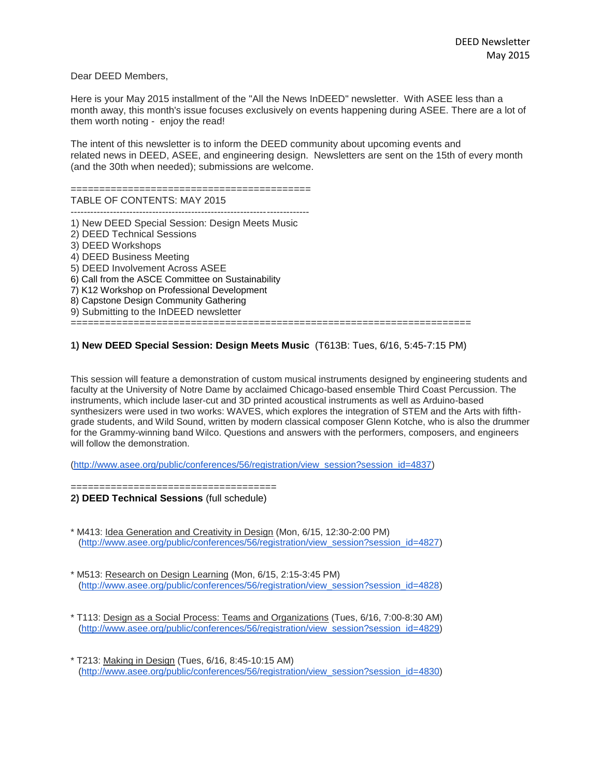Dear DEED Members,

Here is your May 2015 installment of the "All the News InDEED" newsletter. With ASEE less than a month away, this month's issue focuses exclusively on events happening during ASEE. There are a lot of them worth noting - enjoy the read!

The intent of this newsletter is to inform the DEED community about upcoming events and related news in DEED, ASEE, and engineering design. Newsletters are sent on the 15th of every month (and the 30th when needed); submissions are welcome.

#### ==========================================

TABLE OF CONTENTS: MAY 2015

 $-$ 1) New DEED Special Session: Design Meets Music

2) DEED Technical Sessions 3) DEED Workshops 4) DEED Business Meeting 5) DEED Involvement Across ASEE 6) Call from the ASCE Committee on Sustainability 7) K12 Workshop on Professional Development 8) Capstone Design Community Gathering 9) Submitting to the InDEED newsletter ======================================================================

### **1) New DEED Special Session: Design Meets Music** (T613B: Tues, 6/16, 5:45-7:15 PM)

This session will feature a demonstration of custom musical instruments designed by engineering students and faculty at the University of Notre Dame by acclaimed Chicago-based ensemble Third Coast Percussion. The instruments, which include laser-cut and 3D printed acoustical instruments as well as Arduino-based synthesizers were used in two works: WAVES, which explores the integration of STEM and the Arts with fifthgrade students, and Wild Sound, written by modern classical composer Glenn Kotche, who is also the drummer for the Grammy-winning band Wilco. Questions and answers with the performers, composers, and engineers will follow the demonstration.

[\(http://www.asee.org/public/conferences/56/registration/view\\_session?session\\_id=4837\)](http://www.asee.org/public/conferences/56/registration/view_session?session_id=4837)

====================================

**2) DEED Technical Sessions** (full schedule)

- \* M413: Idea Generation and Creativity in Design (Mon, 6/15, 12:30-2:00 PM) [\(http://www.asee.org/public/conferences/56/registration/view\\_session?session\\_id=4827\)](http://www.asee.org/public/conferences/56/registration/view_session?session_id=4827)
- \* M513: Research on Design Learning (Mon, 6/15, 2:15-3:45 PM) [\(http://www.asee.org/public/conferences/56/registration/view\\_session?session\\_id=4828\)](http://www.asee.org/public/conferences/56/registration/view_session?session_id=4828)
- \* T113: Design as a Social Process: Teams and Organizations (Tues, 6/16, 7:00-8:30 AM) [\(http://www.asee.org/public/conferences/56/registration/view\\_session?session\\_id=4829\)](http://www.asee.org/public/conferences/56/registration/view_session?session_id=4829)
- \* T213: Making in Design (Tues, 6/16, 8:45-10:15 AM) [\(http://www.asee.org/public/conferences/56/registration/view\\_session?session\\_id=4830\)](http://www.asee.org/public/conferences/56/registration/view_session?session_id=4830)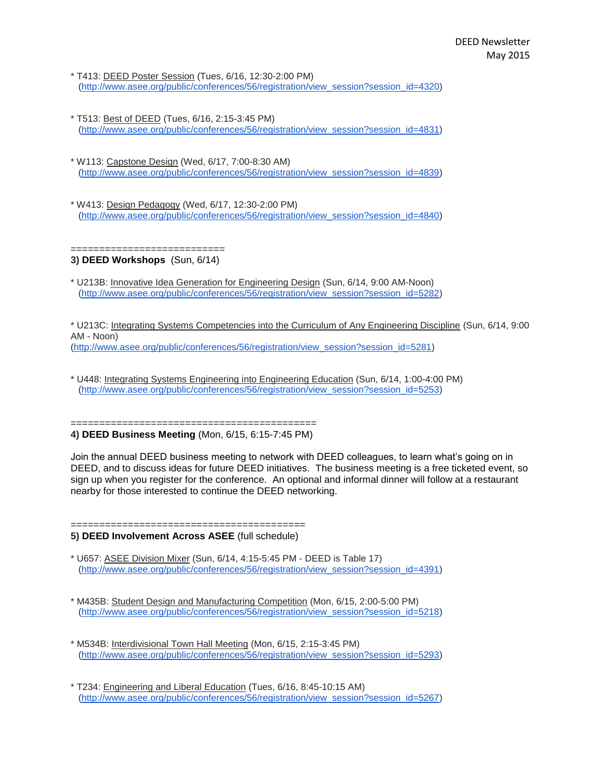- \* T413: DEED Poster Session (Tues, 6/16, 12:30-2:00 PM) [\(http://www.asee.org/public/conferences/56/registration/view\\_session?session\\_id=4320\)](http://www.asee.org/public/conferences/56/registration/view_session?session_id=4320)
- \* T513: Best of DEED (Tues, 6/16, 2:15-3:45 PM) [\(http://www.asee.org/public/conferences/56/registration/view\\_session?session\\_id=4831\)](http://www.asee.org/public/conferences/56/registration/view_session?session_id=4831)
- \* W113: Capstone Design (Wed, 6/17, 7:00-8:30 AM) [\(http://www.asee.org/public/conferences/56/registration/view\\_session?session\\_id=4839\)](http://www.asee.org/public/conferences/56/registration/view_session?session_id=4839)
- \* W413: Design Pedagogy (Wed, 6/17, 12:30-2:00 PM) [\(http://www.asee.org/public/conferences/56/registration/view\\_session?session\\_id=4840\)](http://www.asee.org/public/conferences/56/registration/view_session?session_id=4840)

#### =========================== **3) DEED Workshops** (Sun, 6/14)

\* U213B: Innovative Idea Generation for Engineering Design (Sun, 6/14, 9:00 AM-Noon) [\(http://www.asee.org/public/conferences/56/registration/view\\_session?session\\_id=5282\)](http://www.asee.org/public/conferences/56/registration/view_session?session_id=5282)

\* U213C: Integrating Systems Competencies into the Curriculum of Any Engineering Discipline (Sun, 6/14, 9:00 AM - Noon) [\(http://www.asee.org/public/conferences/56/registration/view\\_session?session\\_id=5281\)](http://www.asee.org/public/conferences/56/registration/view_session?session_id=5281)

\* U448: Integrating Systems Engineering into Engineering Education (Sun, 6/14, 1:00-4:00 PM) [\(http://www.asee.org/public/conferences/56/registration/view\\_session?session\\_id=5253\)](http://www.asee.org/public/conferences/56/registration/view_session?session_id=5253)

#### =========================================== **4) DEED Business Meeting** (Mon, 6/15, 6:15-7:45 PM)

Join the annual DEED business meeting to network with DEED colleagues, to learn what's going on in DEED, and to discuss ideas for future DEED initiatives. The business meeting is a free ticketed event, so sign up when you register for the conference. An optional and informal dinner will follow at a restaurant nearby for those interested to continue the DEED networking.

#### ========================================= **5) DEED Involvement Across ASEE** (full schedule)

- \* U657: ASEE Division Mixer (Sun, 6/14, 4:15-5:45 PM DEED is Table 17) [\(http://www.asee.org/public/conferences/56/registration/view\\_session?session\\_id=4391\)](http://www.asee.org/public/conferences/56/registration/view_session?session_id=4391)
- \* M435B: Student Design and Manufacturing Competition (Mon, 6/15, 2:00-5:00 PM) [\(http://www.asee.org/public/conferences/56/registration/view\\_session?session\\_id=5218\)](http://www.asee.org/public/conferences/56/registration/view_session?session_id=5218)
- \* M534B: Interdivisional Town Hall Meeting (Mon, 6/15, 2:15-3:45 PM) [\(http://www.asee.org/public/conferences/56/registration/view\\_session?session\\_id=5293\)](http://www.asee.org/public/conferences/56/registration/view_session?session_id=5293)
- \* T234: Engineering and Liberal Education (Tues, 6/16, 8:45-10:15 AM) [\(http://www.asee.org/public/conferences/56/registration/view\\_session?session\\_id=5267\)](http://www.asee.org/public/conferences/56/registration/view_session?session_id=5267)